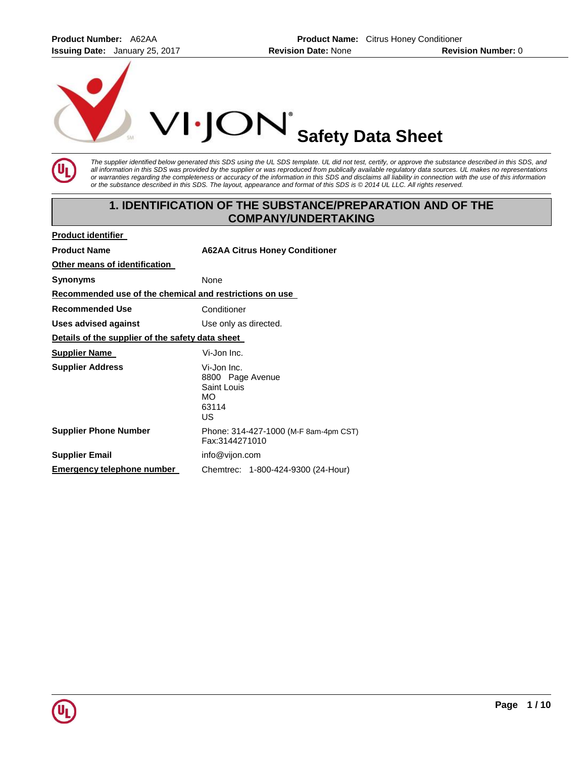**Product Number:** A62AA **Product Name:** Citrus Honey Conditioner **Issuing Date:** January 25, 2017 **Revision Date:** None **Revision Number:** 0



*The supplier identified below generated this SDS using the UL SDS template. UL did not test, certify, or approve the substance described in this SDS, and all information in this SDS was provided by the supplier or was reproduced from publically available regulatory data sources. UL makes no representations or warranties regarding the completeness or accuracy of the information in this SDS and disclaims all liability in connection with the use of this information or the substance described in this SDS. The layout, appearance and format of this SDS is © 2014 UL LLC. All rights reserved.* 

# **1. IDENTIFICATION OF THE SUBSTANCE/PREPARATION AND OF THE COMPANY/UNDERTAKING**

| <b>Product identifier</b>                               |                                                                             |  |  |  |  |
|---------------------------------------------------------|-----------------------------------------------------------------------------|--|--|--|--|
| <b>Product Name</b>                                     | <b>A62AA Citrus Honey Conditioner</b>                                       |  |  |  |  |
| Other means of identification                           |                                                                             |  |  |  |  |
| <b>Synonyms</b>                                         | None                                                                        |  |  |  |  |
| Recommended use of the chemical and restrictions on use |                                                                             |  |  |  |  |
| <b>Recommended Use</b>                                  | Conditioner                                                                 |  |  |  |  |
| Uses advised against                                    | Use only as directed.                                                       |  |  |  |  |
| Details of the supplier of the safety data sheet        |                                                                             |  |  |  |  |
| <b>Supplier Name</b>                                    | Vi-Jon Inc.                                                                 |  |  |  |  |
| <b>Supplier Address</b>                                 | Vi-Jon Inc.<br>8800 Page Avenue<br>Saint Louis<br><b>MO</b><br>63114<br>US. |  |  |  |  |
| <b>Supplier Phone Number</b>                            | Phone: 314-427-1000 (M-F 8am-4pm CST)<br>Fax:3144271010                     |  |  |  |  |
| <b>Supplier Email</b>                                   | info@vijon.com                                                              |  |  |  |  |
| Emergency telephone number                              | Chemtrec: 1-800-424-9300 (24-Hour)                                          |  |  |  |  |

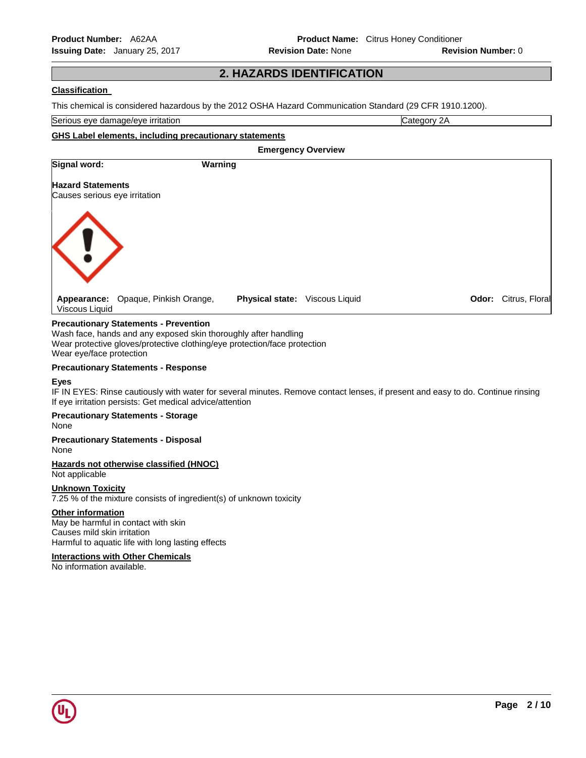# **2. HAZARDS IDENTIFICATION**

## **Classification**

This chemical is considered hazardous by the 2012 OSHA Hazard Communication Standard (29 CFR 1910.1200).

Serious eye damage/eye irritation **Category 2A** Category 2A

### **GHS Label elements, including precautionary statements**

| <b>Emergency Overview</b>     |                                     |                        |                |       |                |
|-------------------------------|-------------------------------------|------------------------|----------------|-------|----------------|
| Signal word:                  | Warning                             |                        |                |       |                |
| <b>Hazard Statements</b>      |                                     |                        |                |       |                |
| Causes serious eye irritation |                                     |                        |                |       |                |
| <b>K!</b>                     |                                     |                        |                |       |                |
| Viscous Liquid                | Appearance: Opaque, Pinkish Orange, | <b>Physical state:</b> | Viscous Liquid | Odor: | Citrus, Floral |

### **Precautionary Statements - Prevention**

Wash face, hands and any exposed skin thoroughly after handling Wear protective gloves/protective clothing/eye protection/face protection Wear eye/face protection

#### **Precautionary Statements - Response**

### **Eyes**

IF IN EYES: Rinse cautiously with water for several minutes. Remove contact lenses, if present and easy to do. Continue rinsing If eye irritation persists: Get medical advice/attention

# **Precautionary Statements - Storage**

None

#### **Precautionary Statements - Disposal** None

# **Hazards not otherwise classified (HNOC)**

Not applicable

### **Unknown Toxicity**

7.25 % of the mixture consists of ingredient(s) of unknown toxicity

### **Other information**

May be harmful in contact with skin Causes mild skin irritation Harmful to aquatic life with long lasting effects

### **Interactions with Other Chemicals**

No information available.

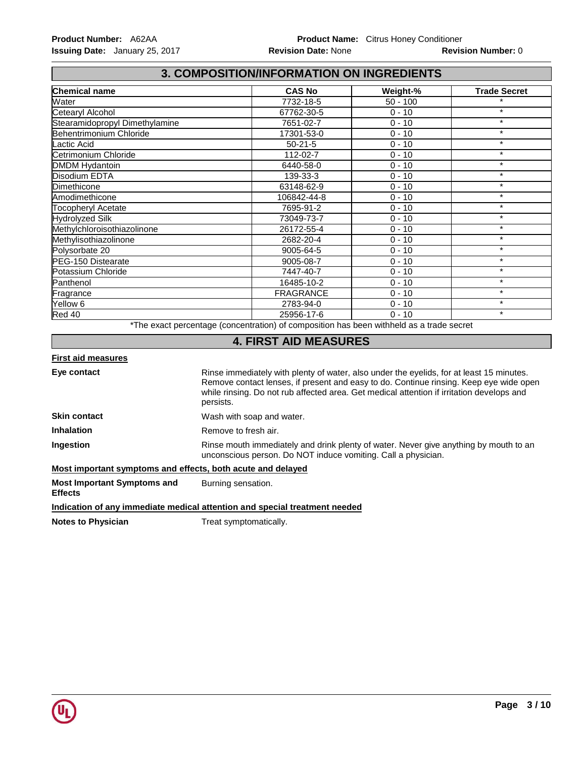# **3. COMPOSITION/INFORMATION ON INGREDIENTS**

| <b>Chemical name</b>           | <b>CAS No</b>    | Weight-%   | <b>Trade Secret</b> |
|--------------------------------|------------------|------------|---------------------|
| Water                          | 7732-18-5        | $50 - 100$ | $\star$             |
| Cetearyl Alcohol               | 67762-30-5       | $0 - 10$   | $\star$             |
| Stearamidopropyl Dimethylamine | 7651-02-7        | $0 - 10$   | $\star$             |
| Behentrimonium Chloride        | 17301-53-0       | $0 - 10$   | $\star$             |
| Lactic Acid                    | $50-21-5$        | $0 - 10$   | $\star$             |
| Cetrimonium Chloride           | 112-02-7         | $0 - 10$   | $\star$             |
| <b>DMDM Hydantoin</b>          | 6440-58-0        | $0 - 10$   | $\star$             |
| Disodium EDTA                  | 139-33-3         | $0 - 10$   | $\star$             |
| Dimethicone                    | 63148-62-9       | $0 - 10$   | $\star$             |
| Amodimethicone                 | 106842-44-8      | $0 - 10$   | $\star$             |
| <b>Tocopheryl Acetate</b>      | 7695-91-2        | $0 - 10$   | $\star$             |
| <b>Hydrolyzed Silk</b>         | 73049-73-7       | $0 - 10$   | $\star$             |
| Methylchloroisothiazolinone    | 26172-55-4       | $0 - 10$   | $\star$             |
| Methylisothiazolinone          | 2682-20-4        | $0 - 10$   | $\star$             |
| Polysorbate 20                 | 9005-64-5        | $0 - 10$   | $\star$             |
| PEG-150 Distearate             | 9005-08-7        | $0 - 10$   | $\star$             |
| Potassium Chloride             | 7447-40-7        | $0 - 10$   | $\star$             |
| Panthenol                      | 16485-10-2       | $0 - 10$   | $\star$             |
| Fragrance                      | <b>FRAGRANCE</b> | $0 - 10$   | $\star$             |
| Yellow 6                       | 2783-94-0        | $0 - 10$   | $\star$             |
| Red 40                         | 25956-17-6       | $0 - 10$   | $\star$             |

\*The exact percentage (concentration) of composition has been withheld as a trade secret

# **4. FIRST AID MEASURES**

### **First aid measures**

**Eye contact** Rinse immediately with plenty of water, also under the eyelids, for at least 15 minutes. Remove contact lenses, if present and easy to do. Continue rinsing. Keep eye wide open while rinsing. Do not rub affected area. Get medical attention if irritation develops and persists. **Skin contact Wash with soap and water. Inhalation Remove to fresh air. Ingestion Rinse mouth immediately and drink plenty of water. Never give anything by mouth to an** unconscious person. Do NOT induce vomiting. Call a physician.

## **Most important symptoms and effects, both acute and delayed**

**Most Important Symptoms and Effects**  Burning sensation.

**Indication of any immediate medical attention and special treatment needed**

**Notes to Physician Treat symptomatically.** 

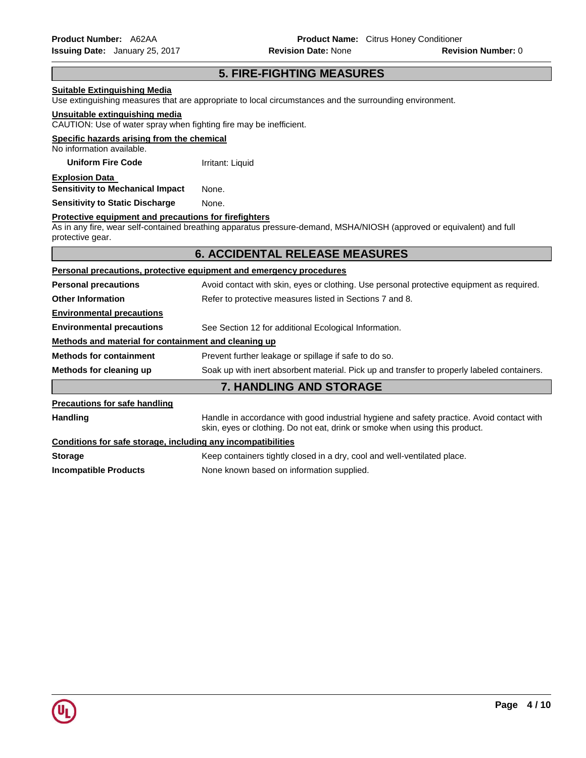# **5. FIRE-FIGHTING MEASURES**

# **Suitable Extinguishing Media** Use extinguishing measures that are appropriate to local circumstances and the surrounding environment. **Unsuitable extinguishing media** CAUTION: Use of water spray when fighting fire may be inefficient. **Specific hazards arising from the chemical** No information available. **Uniform Fire Code Irritant: Liquid Explosion Data Sensitivity to Mechanical Impact** None. **Sensitivity to Static Discharge Mone. Protective equipment and precautions for firefighters** As in any fire, wear self-contained breathing apparatus pressure-demand, MSHA/NIOSH (approved or equivalent) and full protective gear. **6. ACCIDENTAL RELEASE MEASURES Personal precautions, protective equipment and emergency procedures Personal precautions Avoid contact with skin, eyes or clothing. Use personal protective equipment as required. Other Information <b>Referal** Refer to protective measures listed in Sections 7 and 8. **Environmental precautions Environmental precautions** See Section 12 for additional Ecological Information. **Methods and material for containment and cleaning up Methods for containment Prevent further leakage or spillage if safe to do so. Methods for cleaning up** Soak up with inert absorbent material. Pick up and transfer to properly labeled containers. **7. HANDLING AND STORAGE Precautions for safe handling** Handling **Handle in accordance with good industrial hygiene and safety practice. Avoid contact with** skin, eyes or clothing. Do not eat, drink or smoke when using this product. **Conditions for safe storage, including any incompatibilities Storage <b>K**eep containers tightly closed in a dry, cool and well-ventilated place. **Incompatible Products** None known based on information supplied.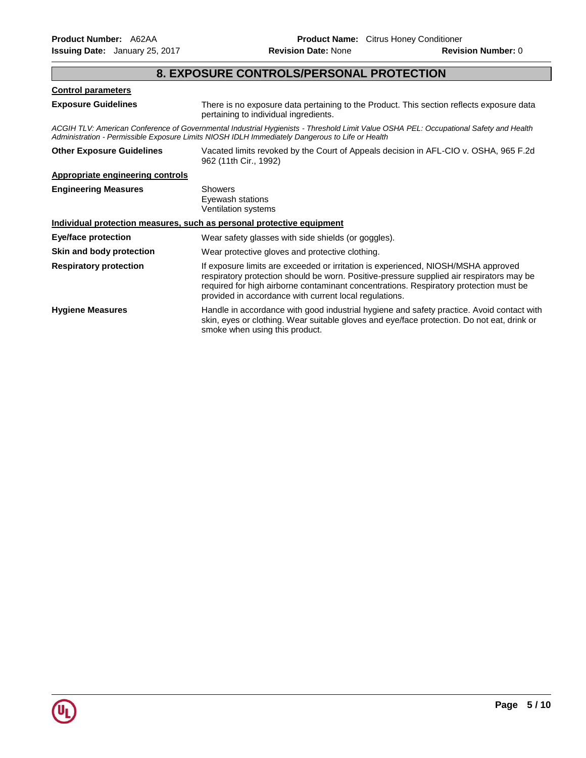# **8. EXPOSURE CONTROLS/PERSONAL PROTECTION**

## **Control parameters**

**Exposure Guidelines** There is no exposure data pertaining to the Product. This section reflects exposure data pertaining to individual ingredients.

*ACGIH TLV: American Conference of Governmental Industrial Hygienists - Threshold Limit Value OSHA PEL: Occupational Safety and Health Administration - Permissible Exposure Limits NIOSH IDLH Immediately Dangerous to Life or Health* 

| <b>Other Exposure Guidelines</b> | Vacated limits revoked by the Court of Appeals decision in AFL-CIO v. OSHA, 965 F.2d<br>962 (11th Cir., 1992)                                                                                                                                                                                                                    |
|----------------------------------|----------------------------------------------------------------------------------------------------------------------------------------------------------------------------------------------------------------------------------------------------------------------------------------------------------------------------------|
| Appropriate engineering controls |                                                                                                                                                                                                                                                                                                                                  |
| <b>Engineering Measures</b>      | Showers<br>Eyewash stations<br>Ventilation systems                                                                                                                                                                                                                                                                               |
|                                  | Individual protection measures, such as personal protective equipment                                                                                                                                                                                                                                                            |
| <b>Eye/face protection</b>       | Wear safety glasses with side shields (or goggles).                                                                                                                                                                                                                                                                              |
| Skin and body protection         | Wear protective gloves and protective clothing.                                                                                                                                                                                                                                                                                  |
| <b>Respiratory protection</b>    | If exposure limits are exceeded or irritation is experienced, NIOSH/MSHA approved<br>respiratory protection should be worn. Positive-pressure supplied air respirators may be<br>required for high airborne contaminant concentrations. Respiratory protection must be<br>provided in accordance with current local regulations. |
| <b>Hygiene Measures</b>          | Handle in accordance with good industrial hygiene and safety practice. Avoid contact with<br>skin, eyes or clothing. Wear suitable gloves and eye/face protection. Do not eat, drink or<br>smoke when using this product.                                                                                                        |

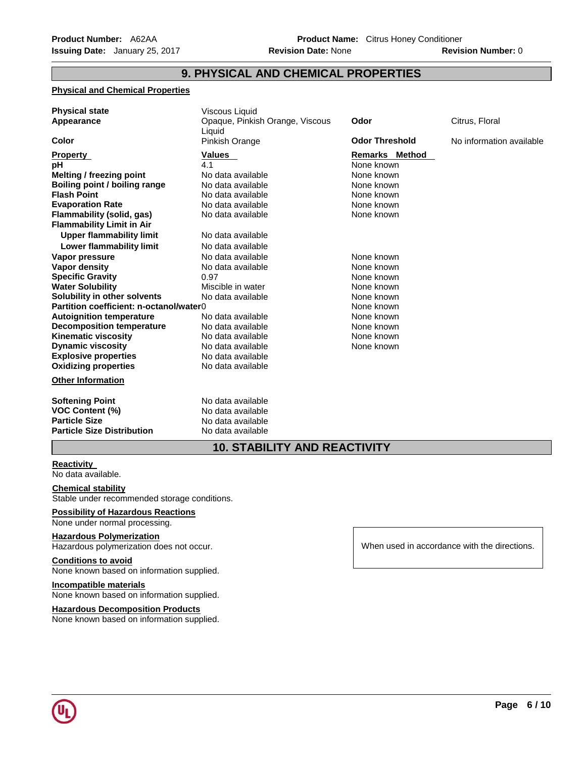# **9. PHYSICAL AND CHEMICAL PROPERTIES**

## **Physical and Chemical Properties**

| <b>Physical state</b><br>Appearance     | Viscous Liquid<br>Opaque, Pinkish Orange, Viscous<br>Liquid | Odor                  | Citrus, Floral           |
|-----------------------------------------|-------------------------------------------------------------|-----------------------|--------------------------|
| Color                                   | Pinkish Orange                                              | <b>Odor Threshold</b> | No information available |
| <b>Property</b>                         | Values                                                      | <b>Remarks Method</b> |                          |
| рH                                      | 4.1                                                         | None known            |                          |
| <b>Melting / freezing point</b>         | No data available                                           | None known            |                          |
| Boiling point / boiling range           | No data available                                           | None known            |                          |
| <b>Flash Point</b>                      | No data available                                           | None known            |                          |
| <b>Evaporation Rate</b>                 | No data available                                           | None known            |                          |
| Flammability (solid, gas)               | No data available                                           | None known            |                          |
| <b>Flammability Limit in Air</b>        |                                                             |                       |                          |
| <b>Upper flammability limit</b>         | No data available                                           |                       |                          |
| Lower flammability limit                | No data available                                           |                       |                          |
| Vapor pressure                          | No data available                                           | None known            |                          |
| Vapor density                           | No data available                                           | None known            |                          |
| <b>Specific Gravity</b>                 | 0.97                                                        | None known            |                          |
| <b>Water Solubility</b>                 | Miscible in water                                           | None known            |                          |
| Solubility in other solvents            | No data available                                           | None known            |                          |
| Partition coefficient: n-octanol/water0 |                                                             | None known            |                          |
| <b>Autoignition temperature</b>         | No data available                                           | None known            |                          |
| <b>Decomposition temperature</b>        | No data available                                           | None known            |                          |
| <b>Kinematic viscosity</b>              | No data available                                           | None known            |                          |
| <b>Dynamic viscosity</b>                | No data available                                           | None known            |                          |
| <b>Explosive properties</b>             | No data available                                           |                       |                          |
| <b>Oxidizing properties</b>             | No data available                                           |                       |                          |
| <b>Other Information</b>                |                                                             |                       |                          |
| <b>Softening Point</b>                  | No data available                                           |                       |                          |
| <b>VOC Content (%)</b>                  | No data available                                           |                       |                          |
| <b>Particle Size</b>                    | No data available                                           |                       |                          |
| <b>Particle Size Distribution</b>       | No data available                                           |                       |                          |
|                                         | 10 STARILITY AND BEACTIVITY                                 |                       |                          |

# **10. STABILITY AND REACTIVITY**

### **Reactivity**

No data available.

# **Chemical stability**

Stable under recommended storage conditions.

# **Possibility of Hazardous Reactions**

None under normal processing.

# **Hazardous Polymerization**

Hazardous polymerization does not occur.

# **Conditions to avoid**

None known based on information supplied.

# **Incompatible materials**

None known based on information supplied.

#### **Hazardous Decomposition Products**

None known based on information supplied.

When used in accordance with the directions.

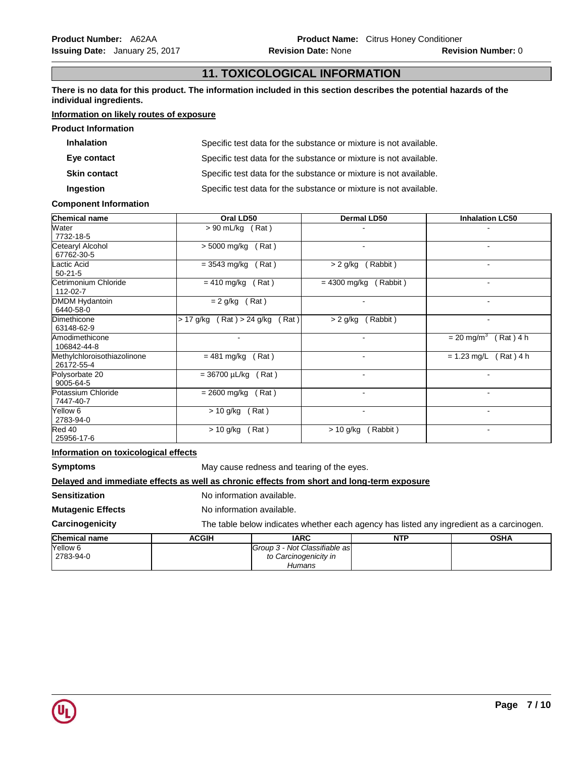# **11. TOXICOLOGICAL INFORMATION**

**There is no data for this product. The information included in this section describes the potential hazards of the individual ingredients.**

# **Information on likely routes of exposure**

| <b>Product Information</b> |                                                                   |
|----------------------------|-------------------------------------------------------------------|
| <b>Inhalation</b>          | Specific test data for the substance or mixture is not available. |
| Eye contact                | Specific test data for the substance or mixture is not available. |
| <b>Skin contact</b>        | Specific test data for the substance or mixture is not available. |
| Ingestion                  | Specific test data for the substance or mixture is not available. |

# **Component Information**

| <b>Chemical name</b>                      | Oral LD50                             | <b>Dermal LD50</b>         | <b>Inhalation LC50</b>                  |
|-------------------------------------------|---------------------------------------|----------------------------|-----------------------------------------|
| Water<br>7732-18-5                        | $> 90$ mL/kg (Rat)                    |                            |                                         |
| Cetearyl Alcohol<br>67762-30-5            | > 5000 mg/kg<br>(Rat)                 | $\blacksquare$             | $\sim$                                  |
| Lactic Acid<br>$50 - 21 - 5$              | $= 3543$ mg/kg<br>(Rat)               | Rabbit)<br>$> 2$ g/kg      | $\blacksquare$                          |
| Cetrimonium Chloride<br>112-02-7          | $= 410$ mg/kg<br>(Rat)                | $= 4300$ mg/kg<br>(Rabbit) | $\blacksquare$                          |
| DMDM Hydantoin<br>6440-58-0               | $= 2$ g/kg<br>(Rat)                   | $\blacksquare$             | $\blacksquare$                          |
| Dimethicone<br>63148-62-9                 | (Rat) > 24 g/kg<br>(Rat)<br>> 17 g/kg | Rabbit)<br>$> 2$ g/kg      | $\overline{\phantom{a}}$                |
| Amodimethicone<br>106842-44-8             |                                       |                            | $= 20$ mg/m <sup>3</sup><br>$(Rat)$ 4 h |
| Methylchloroisothiazolinone<br>26172-55-4 | (Rat)<br>= 481 mg/kg                  | $\blacksquare$             | $= 1.23$ mg/L (Rat) 4 h                 |
| Polysorbate 20<br>9005-64-5               | $= 36700 \mu L/kg$ (Rat)              | $\blacksquare$             |                                         |
| Potassium Chloride<br>7447-40-7           | $= 2600$ mg/kg<br>(Rat)               | $\blacksquare$             | $\sim$                                  |
| Yellow 6<br>2783-94-0                     | (Rat)<br>> 10 g/kg                    | $\blacksquare$             | $\blacksquare$                          |
| Red 40<br>25956-17-6                      | (Rat)<br>> 10 g/kg                    | $> 10$ g/kg (Rabbit)       | $\blacksquare$                          |

## **Information on toxicological effects**

**Symptoms May cause redness and tearing of the eyes.** 

## **Delayed and immediate effects as well as chronic effects from short and long-term exposure**

**Sensitization No information available.** 

**Mutagenic Effects** No information available.

# **Carcinogenicity** The table below indicates whether each agency has listed any ingredient as a carcinogen.

| <b>Chemical name</b> | <b>ACGIH</b> | <b>IARC</b>                   | <b>NTP</b> | <b>OSHA</b> |
|----------------------|--------------|-------------------------------|------------|-------------|
| Yellow 6             |              | Group 3 - Not Classifiable as |            |             |
| 2783-94-0            |              | to Carcinogenicity in         |            |             |
|                      |              | Humans                        |            |             |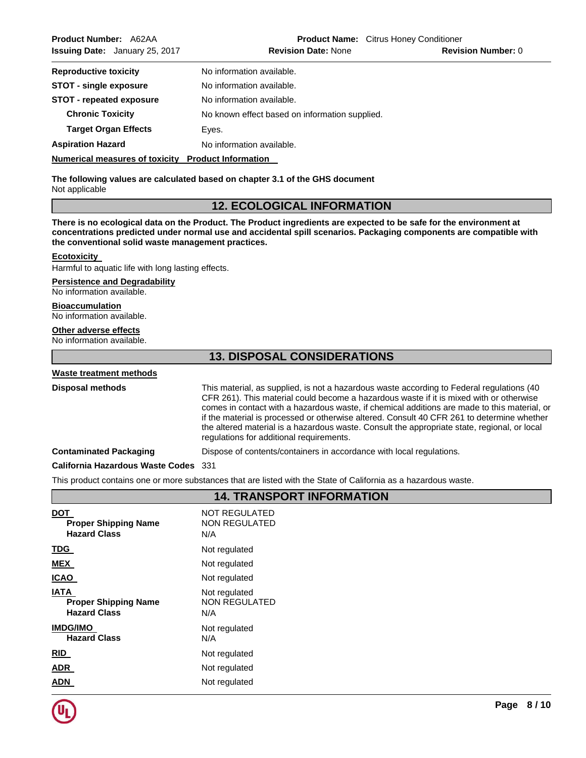**Aspiration Hazard Moleco Example 2018** No information available.

**Numerical measures of toxicity Product Information** 

**The following values are calculated based on chapter 3.1 of the GHS document** Not applicable

# **12. ECOLOGICAL INFORMATION**

**There is no ecological data on the Product. The Product ingredients are expected to be safe for the environment at concentrations predicted under normal use and accidental spill scenarios. Packaging components are compatible with the conventional solid waste management practices.**

## **Ecotoxicity**

Harmful to aquatic life with long lasting effects.

## **Persistence and Degradability**

No information available.

## **Bioaccumulation**

No information available.

## **Other adverse effects**

No information available.

# **13. DISPOSAL CONSIDERATIONS**

## **Waste treatment methods**

**Disposal methods** This material, as supplied, is not a hazardous waste according to Federal regulations (40 CFR 261). This material could become a hazardous waste if it is mixed with or otherwise comes in contact with a hazardous waste, if chemical additions are made to this material, or if the material is processed or otherwise altered. Consult 40 CFR 261 to determine whether the altered material is a hazardous waste. Consult the appropriate state, regional, or local regulations for additional requirements.

### **Contaminated Packaging** Dispose of contents/containers in accordance with local regulations.

### **California Hazardous Waste Codes** 331

This product contains one or more substances that are listed with the State of California as a hazardous waste.

|                                                                   | 14. IRANSFURI INFURMATIUN                           |
|-------------------------------------------------------------------|-----------------------------------------------------|
| <b>DOT</b><br><b>Proper Shipping Name</b><br><b>Hazard Class</b>  | <b>NOT REGULATED</b><br><b>NON REGULATED</b><br>N/A |
| <u>TDG</u>                                                        | Not regulated                                       |
| <b>MEX</b>                                                        | Not regulated                                       |
| <b>ICAO</b>                                                       | Not regulated                                       |
| <b>IATA</b><br><b>Proper Shipping Name</b><br><b>Hazard Class</b> | Not regulated<br>NON REGULATED<br>N/A               |
| <b>IMDG/IMO</b><br><b>Hazard Class</b>                            | Not regulated<br>N/A                                |
| RID                                                               | Not regulated                                       |
| <u>ADR</u>                                                        | Not regulated                                       |
| <b>ADN</b>                                                        | Not regulated                                       |

**14. TRANSPORT INFORMATION** 



Г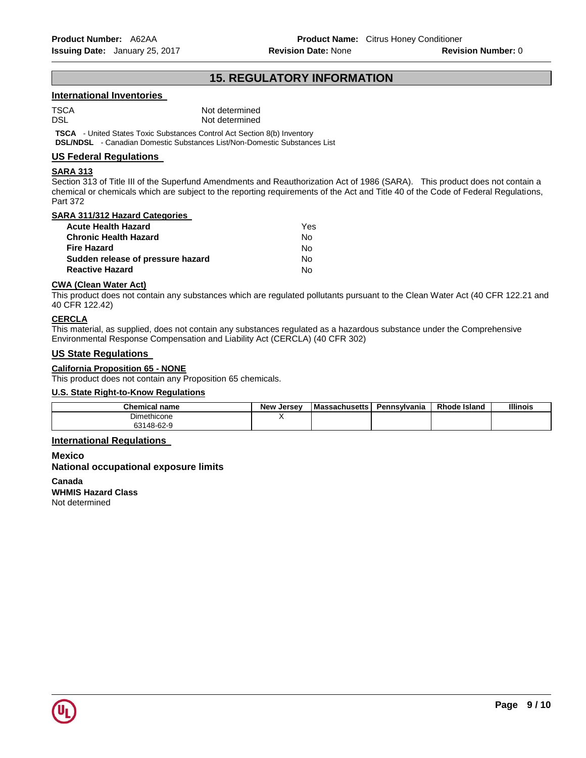# **15. REGULATORY INFORMATION**

# **International Inventories**

TSCA Not determined DSL Not determined

**TSCA** - United States Toxic Substances Control Act Section 8(b) Inventory **DSL/NDSL** - Canadian Domestic Substances List/Non-Domestic Substances List

## **US Federal Regulations**

### **SARA 313**

Section 313 of Title III of the Superfund Amendments and Reauthorization Act of 1986 (SARA). This product does not contain a chemical or chemicals which are subject to the reporting requirements of the Act and Title 40 of the Code of Federal Regulations, Part 372

### **SARA 311/312 Hazard Categories**

| Acute Health Hazard               | Yes. |
|-----------------------------------|------|
| Chronic Health Hazard             | N٥   |
| Fire Hazard                       | N٥   |
| Sudden release of pressure hazard | N٥   |
| Reactive Hazard                   | N٥   |
|                                   |      |

#### **CWA (Clean Water Act)**

This product does not contain any substances which are regulated pollutants pursuant to the Clean Water Act (40 CFR 122.21 and 40 CFR 122.42)

### **CERCLA**

This material, as supplied, does not contain any substances regulated as a hazardous substance under the Comprehensive Environmental Response Compensation and Liability Act (CERCLA) (40 CFR 302)

### **US State Regulations**

## **California Proposition 65 - NONE**

This product does not contain any Proposition 65 chemicals.

# **U.S. State Right-to-Know Regulations**

| <b>Chemical name</b> | . Jersev<br><b>New</b> | <b>Massachusetts</b> | Pennsvlvania | <b>Rhode Island</b> | <b>Illinois</b> |
|----------------------|------------------------|----------------------|--------------|---------------------|-----------------|
| Dimethicone          |                        |                      |              |                     |                 |
| 63148-62-9           |                        |                      |              |                     |                 |

### **International Regulations**

**Mexico National occupational exposure limits** 

**Canada WHMIS Hazard Class** Not determined